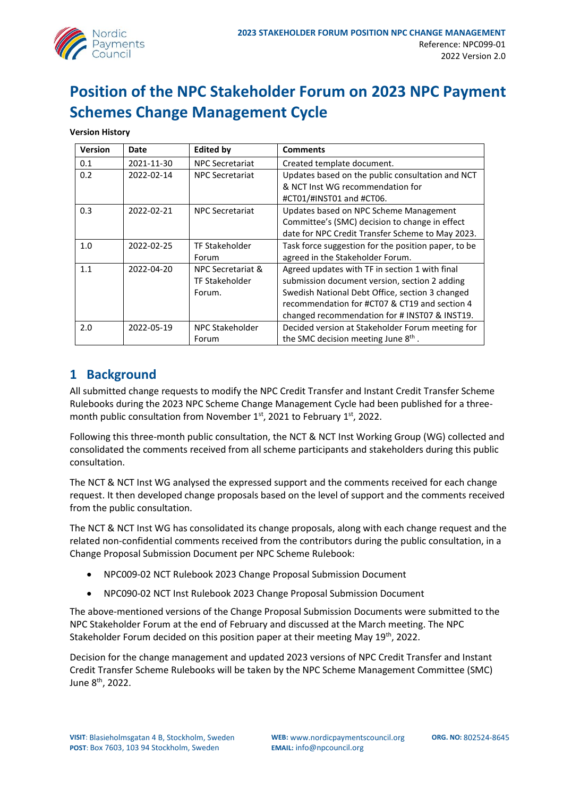

# **Position of the NPC Stakeholder Forum on 2023 NPC Payment Schemes Change Management Cycle**

**Version History**

| <b>Version</b> | Date       | <b>Edited by</b>       | <b>Comments</b>                                     |
|----------------|------------|------------------------|-----------------------------------------------------|
| 0.1            | 2021-11-30 | <b>NPC Secretariat</b> | Created template document.                          |
| 0.2            | 2022-02-14 | <b>NPC Secretariat</b> | Updates based on the public consultation and NCT    |
|                |            |                        | & NCT Inst WG recommendation for                    |
|                |            |                        | #CT01/#INST01 and #CT06.                            |
| 0.3            | 2022-02-21 | <b>NPC Secretariat</b> | Updates based on NPC Scheme Management              |
|                |            |                        | Committee's (SMC) decision to change in effect      |
|                |            |                        | date for NPC Credit Transfer Scheme to May 2023.    |
| 1.0            | 2022-02-25 | <b>TF Stakeholder</b>  | Task force suggestion for the position paper, to be |
|                |            | Forum                  | agreed in the Stakeholder Forum.                    |
| 1.1            | 2022-04-20 | NPC Secretariat &      | Agreed updates with TF in section 1 with final      |
|                |            | <b>TF Stakeholder</b>  | submission document version, section 2 adding       |
|                |            | Forum.                 | Swedish National Debt Office, section 3 changed     |
|                |            |                        | recommendation for #CT07 & CT19 and section 4       |
|                |            |                        | changed recommendation for # INST07 & INST19.       |
| 2.0            | 2022-05-19 | <b>NPC Stakeholder</b> | Decided version at Stakeholder Forum meeting for    |
|                |            | Forum                  | the SMC decision meeting June 8 <sup>th</sup> .     |

#### **1 Background**

All submitted change requests to modify the NPC Credit Transfer and Instant Credit Transfer Scheme Rulebooks during the 2023 NPC Scheme Change Management Cycle had been published for a threemonth public consultation from November  $1<sup>st</sup>$ , 2021 to February  $1<sup>st</sup>$ , 2022.

Following this three-month public consultation, the NCT & NCT Inst Working Group (WG) collected and consolidated the comments received from all scheme participants and stakeholders during this public consultation.

The NCT & NCT Inst WG analysed the expressed support and the comments received for each change request. It then developed change proposals based on the level of support and the comments received from the public consultation.

The NCT & NCT Inst WG has consolidated its change proposals, along with each change request and the related non-confidential comments received from the contributors during the public consultation, in a Change Proposal Submission Document per NPC Scheme Rulebook:

- NPC009-02 NCT Rulebook 2023 Change Proposal Submission Document
- NPC090-02 NCT Inst Rulebook 2023 Change Proposal Submission Document

The above-mentioned versions of the Change Proposal Submission Documents were submitted to the NPC Stakeholder Forum at the end of February and discussed at the March meeting. The NPC Stakeholder Forum decided on this position paper at their meeting May 19<sup>th</sup>, 2022.

Decision for the change management and updated 2023 versions of NPC Credit Transfer and Instant Credit Transfer Scheme Rulebooks will be taken by the NPC Scheme Management Committee (SMC) June 8<sup>th</sup>, 2022.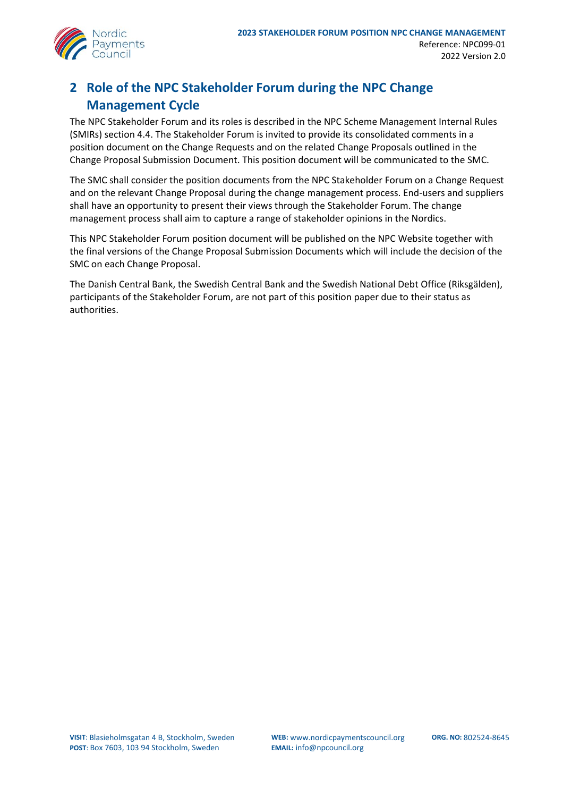

### **2 Role of the NPC Stakeholder Forum during the NPC Change Management Cycle**

The NPC Stakeholder Forum and its roles is described in the NPC Scheme Management Internal Rules (SMIRs) section 4.4. The Stakeholder Forum is invited to provide its consolidated comments in a position document on the Change Requests and on the related Change Proposals outlined in the Change Proposal Submission Document. This position document will be communicated to the SMC.

The SMC shall consider the position documents from the NPC Stakeholder Forum on a Change Request and on the relevant Change Proposal during the change management process. End-users and suppliers shall have an opportunity to present their views through the Stakeholder Forum. The change management process shall aim to capture a range of stakeholder opinions in the Nordics.

This NPC Stakeholder Forum position document will be published on the NPC Website together with the final versions of the Change Proposal Submission Documents which will include the decision of the SMC on each Change Proposal.

The Danish Central Bank, the Swedish Central Bank and the Swedish National Debt Office (Riksgälden), participants of the Stakeholder Forum, are not part of this position paper due to their status as authorities.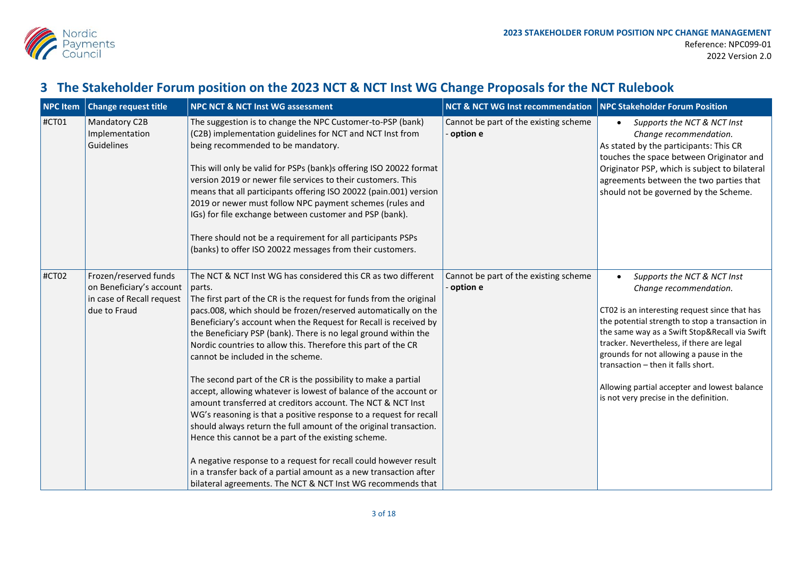

## **3 The Stakeholder Forum position on the 2023 NCT & NCT Inst WG Change Proposals for the NCT Rulebook**

| <b>NPC Item</b> | <b>Change request title</b>                                                                    | <b>NPC NCT &amp; NCT Inst WG assessment</b>                                                                                                                                                                                                                                                                                                                                                                                                                                                                                                                                                                                                                                                                                                                                                                                                                                                                                                                                                                                                                                  | NCT & NCT WG Inst recommendation   NPC Stakeholder Forum Position |                                                                                                                                                                                                                                                                                                                                                                                                                                    |
|-----------------|------------------------------------------------------------------------------------------------|------------------------------------------------------------------------------------------------------------------------------------------------------------------------------------------------------------------------------------------------------------------------------------------------------------------------------------------------------------------------------------------------------------------------------------------------------------------------------------------------------------------------------------------------------------------------------------------------------------------------------------------------------------------------------------------------------------------------------------------------------------------------------------------------------------------------------------------------------------------------------------------------------------------------------------------------------------------------------------------------------------------------------------------------------------------------------|-------------------------------------------------------------------|------------------------------------------------------------------------------------------------------------------------------------------------------------------------------------------------------------------------------------------------------------------------------------------------------------------------------------------------------------------------------------------------------------------------------------|
| #CT01           | Mandatory C2B<br>Implementation<br>Guidelines                                                  | The suggestion is to change the NPC Customer-to-PSP (bank)<br>(C2B) implementation guidelines for NCT and NCT Inst from<br>being recommended to be mandatory.<br>This will only be valid for PSPs (bank)s offering ISO 20022 format<br>version 2019 or newer file services to their customers. This<br>means that all participants offering ISO 20022 (pain.001) version<br>2019 or newer must follow NPC payment schemes (rules and<br>IGs) for file exchange between customer and PSP (bank).<br>There should not be a requirement for all participants PSPs<br>(banks) to offer ISO 20022 messages from their customers.                                                                                                                                                                                                                                                                                                                                                                                                                                                  | Cannot be part of the existing scheme<br>option e                 | Supports the NCT & NCT Inst<br>Change recommendation.<br>As stated by the participants: This CR<br>touches the space between Originator and<br>Originator PSP, which is subject to bilateral<br>agreements between the two parties that<br>should not be governed by the Scheme.                                                                                                                                                   |
| #CT02           | Frozen/reserved funds<br>on Beneficiary's account<br>in case of Recall request<br>due to Fraud | The NCT & NCT Inst WG has considered this CR as two different<br>parts.<br>The first part of the CR is the request for funds from the original<br>pacs.008, which should be frozen/reserved automatically on the<br>Beneficiary's account when the Request for Recall is received by<br>the Beneficiary PSP (bank). There is no legal ground within the<br>Nordic countries to allow this. Therefore this part of the CR<br>cannot be included in the scheme.<br>The second part of the CR is the possibility to make a partial<br>accept, allowing whatever is lowest of balance of the account or<br>amount transferred at creditors account. The NCT & NCT Inst<br>WG's reasoning is that a positive response to a request for recall<br>should always return the full amount of the original transaction.<br>Hence this cannot be a part of the existing scheme.<br>A negative response to a request for recall could however result<br>in a transfer back of a partial amount as a new transaction after<br>bilateral agreements. The NCT & NCT Inst WG recommends that | Cannot be part of the existing scheme<br>option e                 | Supports the NCT & NCT Inst<br>Change recommendation.<br>CT02 is an interesting request since that has<br>the potential strength to stop a transaction in<br>the same way as a Swift Stop&Recall via Swift<br>tracker. Nevertheless, if there are legal<br>grounds for not allowing a pause in the<br>transaction - then it falls short.<br>Allowing partial accepter and lowest balance<br>is not very precise in the definition. |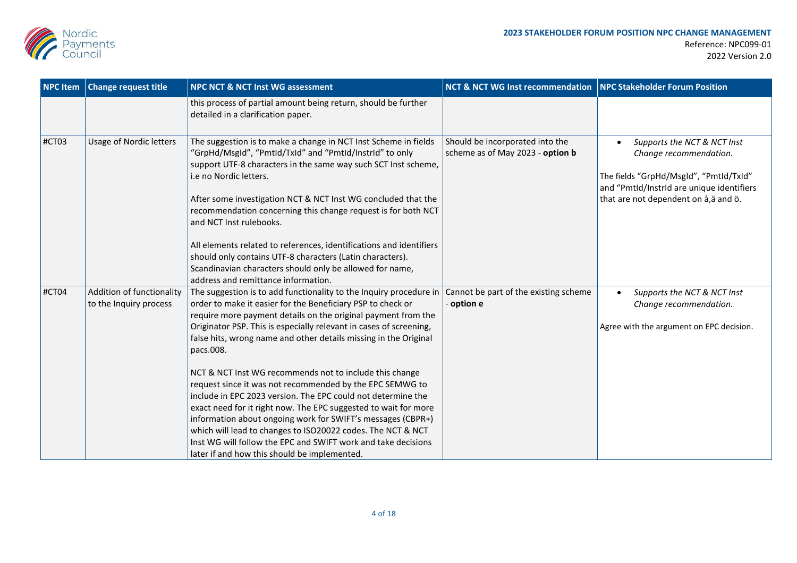

| <b>NPC</b> Item | <b>Change request title</b>                         | <b>NPC NCT &amp; NCT Inst WG assessment</b>                                                                                                                                                                                                                                                                                                                                                                                                                | NCT & NCT WG Inst recommendation   NPC Stakeholder Forum Position   |                                                                                                                                                                                       |
|-----------------|-----------------------------------------------------|------------------------------------------------------------------------------------------------------------------------------------------------------------------------------------------------------------------------------------------------------------------------------------------------------------------------------------------------------------------------------------------------------------------------------------------------------------|---------------------------------------------------------------------|---------------------------------------------------------------------------------------------------------------------------------------------------------------------------------------|
|                 |                                                     | this process of partial amount being return, should be further<br>detailed in a clarification paper.                                                                                                                                                                                                                                                                                                                                                       |                                                                     |                                                                                                                                                                                       |
| #CT03           | <b>Usage of Nordic letters</b>                      | The suggestion is to make a change in NCT Inst Scheme in fields<br>"GrpHd/MsgId", "PmtId/TxId" and "PmtId/InstrId" to only<br>support UTF-8 characters in the same way such SCT Inst scheme,<br>i.e no Nordic letters.<br>After some investigation NCT & NCT Inst WG concluded that the<br>recommendation concerning this change request is for both NCT<br>and NCT Inst rulebooks.<br>All elements related to references, identifications and identifiers | Should be incorporated into the<br>scheme as of May 2023 - option b | Supports the NCT & NCT Inst<br>Change recommendation.<br>The fields "GrpHd/MsgId", "PmtId/TxId"<br>and "PmtId/InstrId are unique identifiers<br>that are not dependent on å, ä and ö. |
|                 |                                                     | should only contains UTF-8 characters (Latin characters).<br>Scandinavian characters should only be allowed for name,                                                                                                                                                                                                                                                                                                                                      |                                                                     |                                                                                                                                                                                       |
|                 |                                                     | address and remittance information.                                                                                                                                                                                                                                                                                                                                                                                                                        |                                                                     |                                                                                                                                                                                       |
| #CT04           | Addition of functionality<br>to the Inquiry process | The suggestion is to add functionality to the Inquiry procedure in<br>order to make it easier for the Beneficiary PSP to check or<br>require more payment details on the original payment from the                                                                                                                                                                                                                                                         | Cannot be part of the existing scheme<br>option e                   | Supports the NCT & NCT Inst<br>Change recommendation.                                                                                                                                 |
|                 |                                                     | Originator PSP. This is especially relevant in cases of screening,<br>false hits, wrong name and other details missing in the Original<br>pacs.008.                                                                                                                                                                                                                                                                                                        |                                                                     | Agree with the argument on EPC decision.                                                                                                                                              |
|                 |                                                     | NCT & NCT Inst WG recommends not to include this change<br>request since it was not recommended by the EPC SEMWG to<br>include in EPC 2023 version. The EPC could not determine the                                                                                                                                                                                                                                                                        |                                                                     |                                                                                                                                                                                       |
|                 |                                                     | exact need for it right now. The EPC suggested to wait for more<br>information about ongoing work for SWIFT's messages (CBPR+)<br>which will lead to changes to ISO20022 codes. The NCT & NCT                                                                                                                                                                                                                                                              |                                                                     |                                                                                                                                                                                       |
|                 |                                                     | Inst WG will follow the EPC and SWIFT work and take decisions<br>later if and how this should be implemented.                                                                                                                                                                                                                                                                                                                                              |                                                                     |                                                                                                                                                                                       |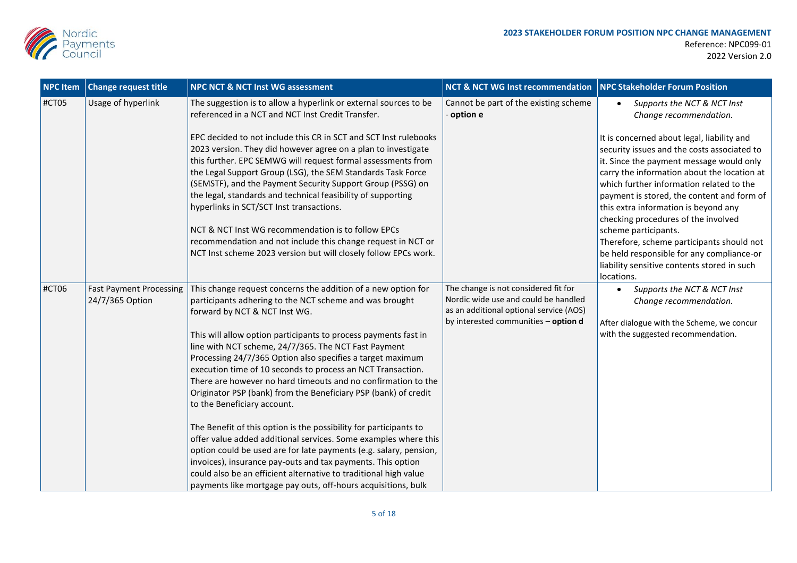

| <b>NPC Item</b> | <b>Change request title</b>                       | <b>NPC NCT &amp; NCT Inst WG assessment</b>                                                                                                                                                                                                                                                                                                                                                                                                                                                                                                                                                                                                                                                                                                                                                                                                                                                                                                                                                           | <b>NCT &amp; NCT WG Inst recommendation</b>                                                                                                                     | NPC Stakeholder Forum Position                                                                                                                                                                                                                                                                                                                                                                                                                                                                                                 |
|-----------------|---------------------------------------------------|-------------------------------------------------------------------------------------------------------------------------------------------------------------------------------------------------------------------------------------------------------------------------------------------------------------------------------------------------------------------------------------------------------------------------------------------------------------------------------------------------------------------------------------------------------------------------------------------------------------------------------------------------------------------------------------------------------------------------------------------------------------------------------------------------------------------------------------------------------------------------------------------------------------------------------------------------------------------------------------------------------|-----------------------------------------------------------------------------------------------------------------------------------------------------------------|--------------------------------------------------------------------------------------------------------------------------------------------------------------------------------------------------------------------------------------------------------------------------------------------------------------------------------------------------------------------------------------------------------------------------------------------------------------------------------------------------------------------------------|
| #CT05           | Usage of hyperlink                                | The suggestion is to allow a hyperlink or external sources to be<br>referenced in a NCT and NCT Inst Credit Transfer.                                                                                                                                                                                                                                                                                                                                                                                                                                                                                                                                                                                                                                                                                                                                                                                                                                                                                 | Cannot be part of the existing scheme<br>option e                                                                                                               | Supports the NCT & NCT Inst<br>Change recommendation.                                                                                                                                                                                                                                                                                                                                                                                                                                                                          |
|                 |                                                   | EPC decided to not include this CR in SCT and SCT Inst rulebooks<br>2023 version. They did however agree on a plan to investigate<br>this further. EPC SEMWG will request formal assessments from<br>the Legal Support Group (LSG), the SEM Standards Task Force<br>(SEMSTF), and the Payment Security Support Group (PSSG) on<br>the legal, standards and technical feasibility of supporting<br>hyperlinks in SCT/SCT Inst transactions.<br>NCT & NCT Inst WG recommendation is to follow EPCs<br>recommendation and not include this change request in NCT or<br>NCT Inst scheme 2023 version but will closely follow EPCs work.                                                                                                                                                                                                                                                                                                                                                                   |                                                                                                                                                                 | It is concerned about legal, liability and<br>security issues and the costs associated to<br>it. Since the payment message would only<br>carry the information about the location at<br>which further information related to the<br>payment is stored, the content and form of<br>this extra information is beyond any<br>checking procedures of the involved<br>scheme participants.<br>Therefore, scheme participants should not<br>be held responsible for any compliance-or<br>liability sensitive contents stored in such |
| #CT06           | <b>Fast Payment Processing</b><br>24/7/365 Option | This change request concerns the addition of a new option for<br>participants adhering to the NCT scheme and was brought<br>forward by NCT & NCT Inst WG.<br>This will allow option participants to process payments fast in<br>line with NCT scheme, 24/7/365. The NCT Fast Payment<br>Processing 24/7/365 Option also specifies a target maximum<br>execution time of 10 seconds to process an NCT Transaction.<br>There are however no hard timeouts and no confirmation to the<br>Originator PSP (bank) from the Beneficiary PSP (bank) of credit<br>to the Beneficiary account.<br>The Benefit of this option is the possibility for participants to<br>offer value added additional services. Some examples where this<br>option could be used are for late payments (e.g. salary, pension,<br>invoices), insurance pay-outs and tax payments. This option<br>could also be an efficient alternative to traditional high value<br>payments like mortgage pay outs, off-hours acquisitions, bulk | The change is not considered fit for<br>Nordic wide use and could be handled<br>as an additional optional service (AOS)<br>by interested communities - option d | locations.<br>Supports the NCT & NCT Inst<br>Change recommendation.<br>After dialogue with the Scheme, we concur<br>with the suggested recommendation.                                                                                                                                                                                                                                                                                                                                                                         |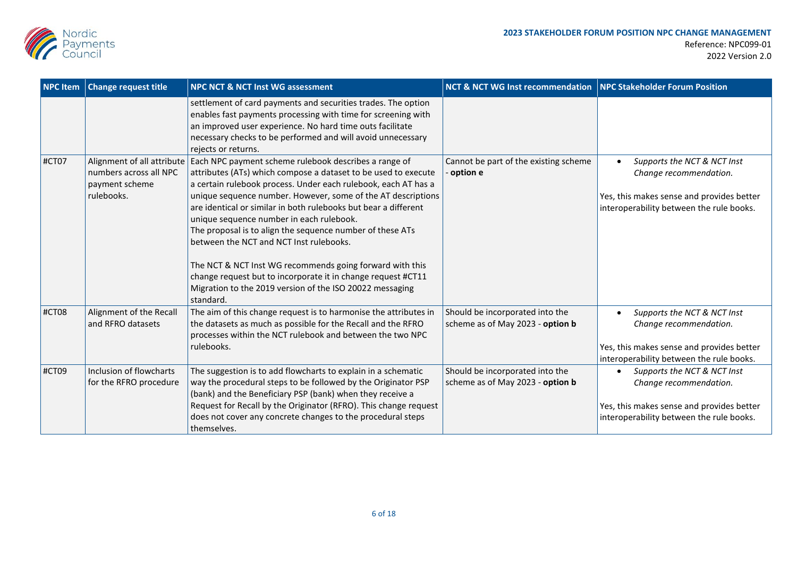

| <b>NPC Item</b> | <b>Change request title</b>                                                          | <b>NPC NCT &amp; NCT Inst WG assessment</b>                                                                                                                                                                                                                                                                                                                                                                                                                                                                                                                                                                                                                                           | NCT & NCT WG Inst recommendation   NPC Stakeholder Forum Position   |                                                                                                                                                |
|-----------------|--------------------------------------------------------------------------------------|---------------------------------------------------------------------------------------------------------------------------------------------------------------------------------------------------------------------------------------------------------------------------------------------------------------------------------------------------------------------------------------------------------------------------------------------------------------------------------------------------------------------------------------------------------------------------------------------------------------------------------------------------------------------------------------|---------------------------------------------------------------------|------------------------------------------------------------------------------------------------------------------------------------------------|
|                 |                                                                                      | settlement of card payments and securities trades. The option<br>enables fast payments processing with time for screening with<br>an improved user experience. No hard time outs facilitate<br>necessary checks to be performed and will avoid unnecessary<br>rejects or returns.                                                                                                                                                                                                                                                                                                                                                                                                     |                                                                     |                                                                                                                                                |
| #CT07           | Alignment of all attribute<br>numbers across all NPC<br>payment scheme<br>rulebooks. | Each NPC payment scheme rulebook describes a range of<br>attributes (ATs) which compose a dataset to be used to execute<br>a certain rulebook process. Under each rulebook, each AT has a<br>unique sequence number. However, some of the AT descriptions<br>are identical or similar in both rulebooks but bear a different<br>unique sequence number in each rulebook.<br>The proposal is to align the sequence number of these ATs<br>between the NCT and NCT Inst rulebooks.<br>The NCT & NCT Inst WG recommends going forward with this<br>change request but to incorporate it in change request #CT11<br>Migration to the 2019 version of the ISO 20022 messaging<br>standard. | Cannot be part of the existing scheme<br>option e                   | Supports the NCT & NCT Inst<br>Change recommendation.<br>Yes, this makes sense and provides better<br>interoperability between the rule books. |
| #CT08           | Alignment of the Recall<br>and RFRO datasets                                         | The aim of this change request is to harmonise the attributes in<br>the datasets as much as possible for the Recall and the RFRO<br>processes within the NCT rulebook and between the two NPC<br>rulebooks.                                                                                                                                                                                                                                                                                                                                                                                                                                                                           | Should be incorporated into the<br>scheme as of May 2023 - option b | Supports the NCT & NCT Inst<br>Change recommendation.<br>Yes, this makes sense and provides better<br>interoperability between the rule books. |
| #CT09           | Inclusion of flowcharts<br>for the RFRO procedure                                    | The suggestion is to add flowcharts to explain in a schematic<br>way the procedural steps to be followed by the Originator PSP<br>(bank) and the Beneficiary PSP (bank) when they receive a<br>Request for Recall by the Originator (RFRO). This change request<br>does not cover any concrete changes to the procedural steps<br>themselves.                                                                                                                                                                                                                                                                                                                                         | Should be incorporated into the<br>scheme as of May 2023 - option b | Supports the NCT & NCT Inst<br>Change recommendation.<br>Yes, this makes sense and provides better<br>interoperability between the rule books. |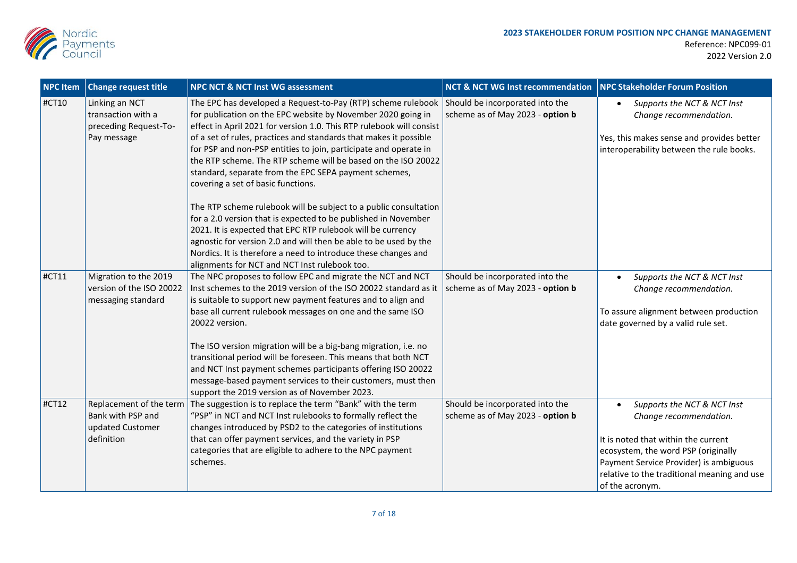

| <b>NPC Item</b> | <b>Change request title</b>                                                    | NPC NCT & NCT Inst WG assessment                                                                                                                                                                                                                                                                                                                                                                                                                                                                                                                                                                     | <b>NCT &amp; NCT WG Inst recommendation</b>                         | NPC Stakeholder Forum Position                                                                                                                                                                                                                  |
|-----------------|--------------------------------------------------------------------------------|------------------------------------------------------------------------------------------------------------------------------------------------------------------------------------------------------------------------------------------------------------------------------------------------------------------------------------------------------------------------------------------------------------------------------------------------------------------------------------------------------------------------------------------------------------------------------------------------------|---------------------------------------------------------------------|-------------------------------------------------------------------------------------------------------------------------------------------------------------------------------------------------------------------------------------------------|
| #CT10           | Linking an NCT<br>transaction with a<br>preceding Request-To-<br>Pay message   | The EPC has developed a Request-to-Pay (RTP) scheme rulebook Should be incorporated into the<br>for publication on the EPC website by November 2020 going in<br>effect in April 2021 for version 1.0. This RTP rulebook will consist<br>of a set of rules, practices and standards that makes it possible<br>for PSP and non-PSP entities to join, participate and operate in<br>the RTP scheme. The RTP scheme will be based on the ISO 20022<br>standard, separate from the EPC SEPA payment schemes,<br>covering a set of basic functions.                                                        | scheme as of May 2023 - option b                                    | Supports the NCT & NCT Inst<br>Change recommendation.<br>Yes, this makes sense and provides better<br>interoperability between the rule books.                                                                                                  |
|                 |                                                                                | The RTP scheme rulebook will be subject to a public consultation<br>for a 2.0 version that is expected to be published in November<br>2021. It is expected that EPC RTP rulebook will be currency<br>agnostic for version 2.0 and will then be able to be used by the<br>Nordics. It is therefore a need to introduce these changes and<br>alignments for NCT and NCT Inst rulebook too.                                                                                                                                                                                                             |                                                                     |                                                                                                                                                                                                                                                 |
| #CT11           | Migration to the 2019<br>version of the ISO 20022<br>messaging standard        | The NPC proposes to follow EPC and migrate the NCT and NCT<br>Inst schemes to the 2019 version of the ISO 20022 standard as it<br>is suitable to support new payment features and to align and<br>base all current rulebook messages on one and the same ISO<br>20022 version.<br>The ISO version migration will be a big-bang migration, i.e. no<br>transitional period will be foreseen. This means that both NCT<br>and NCT Inst payment schemes participants offering ISO 20022<br>message-based payment services to their customers, must then<br>support the 2019 version as of November 2023. | Should be incorporated into the<br>scheme as of May 2023 - option b | Supports the NCT & NCT Inst<br>Change recommendation.<br>To assure alignment between production<br>date governed by a valid rule set.                                                                                                           |
| #CT12           | Replacement of the term<br>Bank with PSP and<br>updated Customer<br>definition | The suggestion is to replace the term "Bank" with the term<br>"PSP" in NCT and NCT Inst rulebooks to formally reflect the<br>changes introduced by PSD2 to the categories of institutions<br>that can offer payment services, and the variety in PSP<br>categories that are eligible to adhere to the NPC payment<br>schemes.                                                                                                                                                                                                                                                                        | Should be incorporated into the<br>scheme as of May 2023 - option b | Supports the NCT & NCT Inst<br>Change recommendation.<br>It is noted that within the current<br>ecosystem, the word PSP (originally<br>Payment Service Provider) is ambiguous<br>relative to the traditional meaning and use<br>of the acronym. |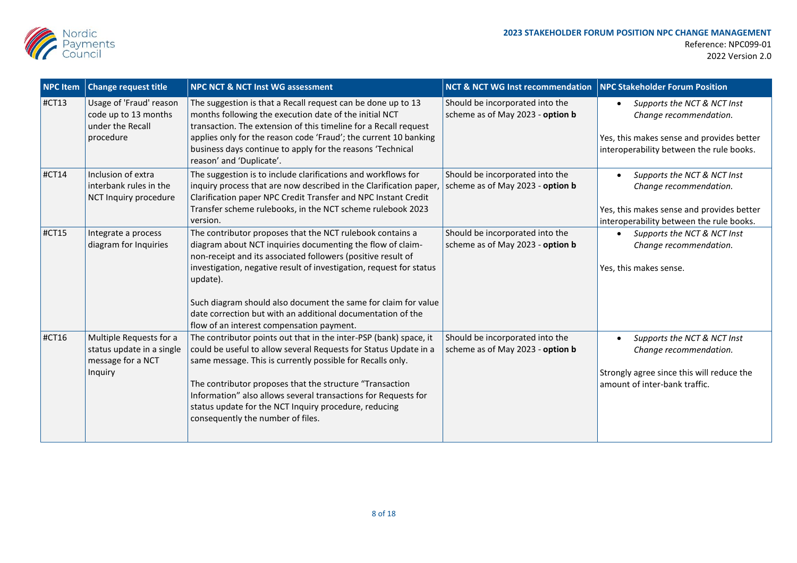

| <b>NPC Item</b> | <b>Change request title</b>                                                          | <b>NPC NCT &amp; NCT Inst WG assessment</b>                                                                                                                                                                                                                                                                                                                                                                                                              | <b>NCT &amp; NCT WG Inst recommendation</b>                         | NPC Stakeholder Forum Position                                                                                                                 |
|-----------------|--------------------------------------------------------------------------------------|----------------------------------------------------------------------------------------------------------------------------------------------------------------------------------------------------------------------------------------------------------------------------------------------------------------------------------------------------------------------------------------------------------------------------------------------------------|---------------------------------------------------------------------|------------------------------------------------------------------------------------------------------------------------------------------------|
| #CT13           | Usage of 'Fraud' reason<br>code up to 13 months<br>under the Recall<br>procedure     | The suggestion is that a Recall request can be done up to 13<br>months following the execution date of the initial NCT<br>transaction. The extension of this timeline for a Recall request<br>applies only for the reason code 'Fraud'; the current 10 banking<br>business days continue to apply for the reasons 'Technical<br>reason' and 'Duplicate'.                                                                                                 | Should be incorporated into the<br>scheme as of May 2023 - option b | Supports the NCT & NCT Inst<br>Change recommendation.<br>Yes, this makes sense and provides better<br>interoperability between the rule books. |
| #CT14           | Inclusion of extra<br>interbank rules in the<br>NCT Inquiry procedure                | The suggestion is to include clarifications and workflows for<br>inquiry process that are now described in the Clarification paper,<br>Clarification paper NPC Credit Transfer and NPC Instant Credit<br>Transfer scheme rulebooks, in the NCT scheme rulebook 2023<br>version.                                                                                                                                                                          | Should be incorporated into the<br>scheme as of May 2023 - option b | Supports the NCT & NCT Inst<br>Change recommendation.<br>Yes, this makes sense and provides better<br>interoperability between the rule books. |
| #CT15           | Integrate a process<br>diagram for Inquiries                                         | The contributor proposes that the NCT rulebook contains a<br>diagram about NCT inquiries documenting the flow of claim-<br>non-receipt and its associated followers (positive result of<br>investigation, negative result of investigation, request for status<br>update).<br>Such diagram should also document the same for claim for value<br>date correction but with an additional documentation of the<br>flow of an interest compensation payment. | Should be incorporated into the<br>scheme as of May 2023 - option b | Supports the NCT & NCT Inst<br>Change recommendation.<br>Yes, this makes sense.                                                                |
| #CT16           | Multiple Requests for a<br>status update in a single<br>message for a NCT<br>Inquiry | The contributor points out that in the inter-PSP (bank) space, it<br>could be useful to allow several Requests for Status Update in a<br>same message. This is currently possible for Recalls only.<br>The contributor proposes that the structure "Transaction<br>Information" also allows several transactions for Requests for<br>status update for the NCT Inquiry procedure, reducing<br>consequently the number of files.                          | Should be incorporated into the<br>scheme as of May 2023 - option b | Supports the NCT & NCT Inst<br>Change recommendation.<br>Strongly agree since this will reduce the<br>amount of inter-bank traffic.            |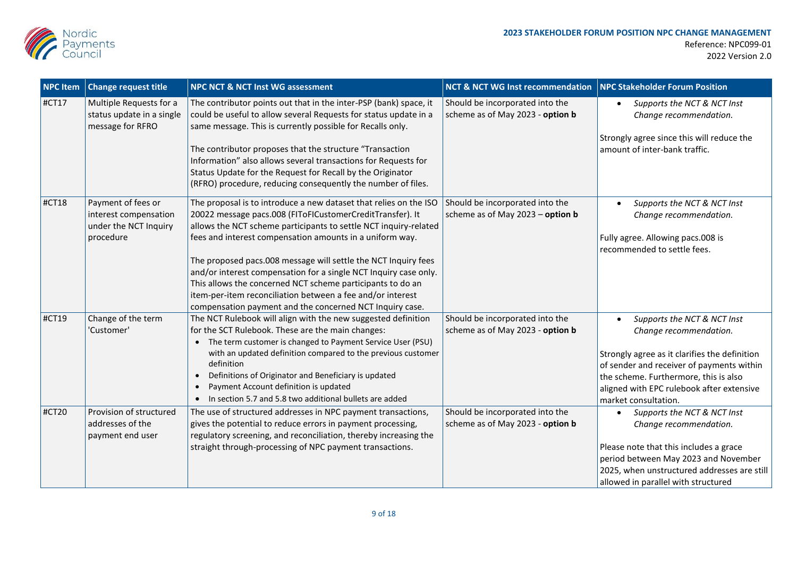

| <b>NPC Item</b> | <b>Change request title</b>                                                       | <b>NPC NCT &amp; NCT Inst WG assessment</b>                                                                                                                                                                                                                                                                                                                                                                                                                                                                                                                                                  | <b>NCT &amp; NCT WG Inst recommendation</b>                         | NPC Stakeholder Forum Position                                                                                                                                                                                                                                    |
|-----------------|-----------------------------------------------------------------------------------|----------------------------------------------------------------------------------------------------------------------------------------------------------------------------------------------------------------------------------------------------------------------------------------------------------------------------------------------------------------------------------------------------------------------------------------------------------------------------------------------------------------------------------------------------------------------------------------------|---------------------------------------------------------------------|-------------------------------------------------------------------------------------------------------------------------------------------------------------------------------------------------------------------------------------------------------------------|
| $ $ #CT17       | Multiple Requests for a<br>status update in a single<br>message for RFRO          | The contributor points out that in the inter-PSP (bank) space, it<br>could be useful to allow several Requests for status update in a<br>same message. This is currently possible for Recalls only.<br>The contributor proposes that the structure "Transaction<br>Information" also allows several transactions for Requests for<br>Status Update for the Request for Recall by the Originator<br>(RFRO) procedure, reducing consequently the number of files.                                                                                                                              | Should be incorporated into the<br>scheme as of May 2023 - option b | Supports the NCT & NCT Inst<br>Change recommendation.<br>Strongly agree since this will reduce the<br>amount of inter-bank traffic.                                                                                                                               |
| #CT18           | Payment of fees or<br>interest compensation<br>under the NCT Inquiry<br>procedure | The proposal is to introduce a new dataset that relies on the ISO<br>20022 message pacs.008 (FIToFICustomerCreditTransfer). It<br>allows the NCT scheme participants to settle NCT inquiry-related<br>fees and interest compensation amounts in a uniform way.<br>The proposed pacs.008 message will settle the NCT Inquiry fees<br>and/or interest compensation for a single NCT Inquiry case only.<br>This allows the concerned NCT scheme participants to do an<br>item-per-item reconciliation between a fee and/or interest<br>compensation payment and the concerned NCT Inquiry case. | Should be incorporated into the<br>scheme as of May 2023 - option b | Supports the NCT & NCT Inst<br>Change recommendation.<br>Fully agree. Allowing pacs.008 is<br>recommended to settle fees.                                                                                                                                         |
| #CT19           | Change of the term<br>'Customer'                                                  | The NCT Rulebook will align with the new suggested definition<br>for the SCT Rulebook. These are the main changes:<br>The term customer is changed to Payment Service User (PSU)<br>with an updated definition compared to the previous customer<br>definition<br>Definitions of Originator and Beneficiary is updated<br>$\bullet$<br>Payment Account definition is updated<br>$\bullet$<br>In section 5.7 and 5.8 two additional bullets are added<br>$\bullet$                                                                                                                            | Should be incorporated into the<br>scheme as of May 2023 - option b | Supports the NCT & NCT Inst<br>Change recommendation.<br>Strongly agree as it clarifies the definition<br>of sender and receiver of payments within<br>the scheme. Furthermore, this is also<br>aligned with EPC rulebook after extensive<br>market consultation. |
| #CT20           | Provision of structured<br>addresses of the<br>payment end user                   | The use of structured addresses in NPC payment transactions,<br>gives the potential to reduce errors in payment processing,<br>regulatory screening, and reconciliation, thereby increasing the<br>straight through-processing of NPC payment transactions.                                                                                                                                                                                                                                                                                                                                  | Should be incorporated into the<br>scheme as of May 2023 - option b | Supports the NCT & NCT Inst<br>Change recommendation.<br>Please note that this includes a grace<br>period between May 2023 and November<br>2025, when unstructured addresses are still<br>allowed in parallel with structured                                     |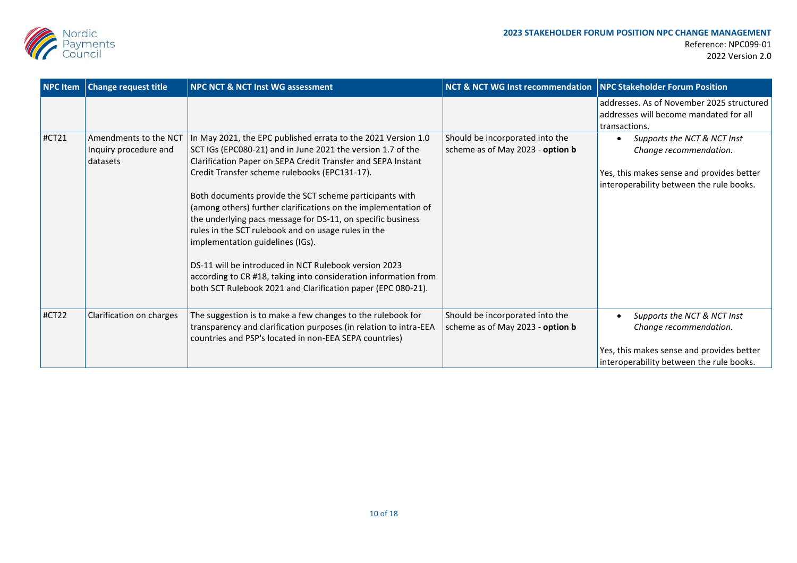

| <b>NPC Item</b> | <b>Change request title</b>                                | <b>NPC NCT &amp; NCT Inst WG assessment</b>                                                                                                                                                                                                                                                                                                                                                                                                                                                                                                                                                                                                                                                                                      | <b>NCT &amp; NCT WG Inst recommendation</b>                         | NPC Stakeholder Forum Position                                                                                                                 |
|-----------------|------------------------------------------------------------|----------------------------------------------------------------------------------------------------------------------------------------------------------------------------------------------------------------------------------------------------------------------------------------------------------------------------------------------------------------------------------------------------------------------------------------------------------------------------------------------------------------------------------------------------------------------------------------------------------------------------------------------------------------------------------------------------------------------------------|---------------------------------------------------------------------|------------------------------------------------------------------------------------------------------------------------------------------------|
|                 |                                                            |                                                                                                                                                                                                                                                                                                                                                                                                                                                                                                                                                                                                                                                                                                                                  |                                                                     | addresses. As of November 2025 structured<br>addresses will become mandated for all<br>transactions.                                           |
| #CT21           | Amendments to the NCT<br>Inquiry procedure and<br>datasets | In May 2021, the EPC published errata to the 2021 Version 1.0<br>SCT IGs (EPC080-21) and in June 2021 the version 1.7 of the<br>Clarification Paper on SEPA Credit Transfer and SEPA Instant<br>Credit Transfer scheme rulebooks (EPC131-17).<br>Both documents provide the SCT scheme participants with<br>(among others) further clarifications on the implementation of<br>the underlying pacs message for DS-11, on specific business<br>rules in the SCT rulebook and on usage rules in the<br>implementation guidelines (IGs).<br>DS-11 will be introduced in NCT Rulebook version 2023<br>according to CR #18, taking into consideration information from<br>both SCT Rulebook 2021 and Clarification paper (EPC 080-21). | Should be incorporated into the<br>scheme as of May 2023 - option b | Supports the NCT & NCT Inst<br>Change recommendation.<br>Yes, this makes sense and provides better<br>interoperability between the rule books. |
| #CT22           | Clarification on charges                                   | The suggestion is to make a few changes to the rulebook for<br>transparency and clarification purposes (in relation to intra-EEA<br>countries and PSP's located in non-EEA SEPA countries)                                                                                                                                                                                                                                                                                                                                                                                                                                                                                                                                       | Should be incorporated into the<br>scheme as of May 2023 - option b | Supports the NCT & NCT Inst<br>Change recommendation.<br>Yes, this makes sense and provides better<br>interoperability between the rule books. |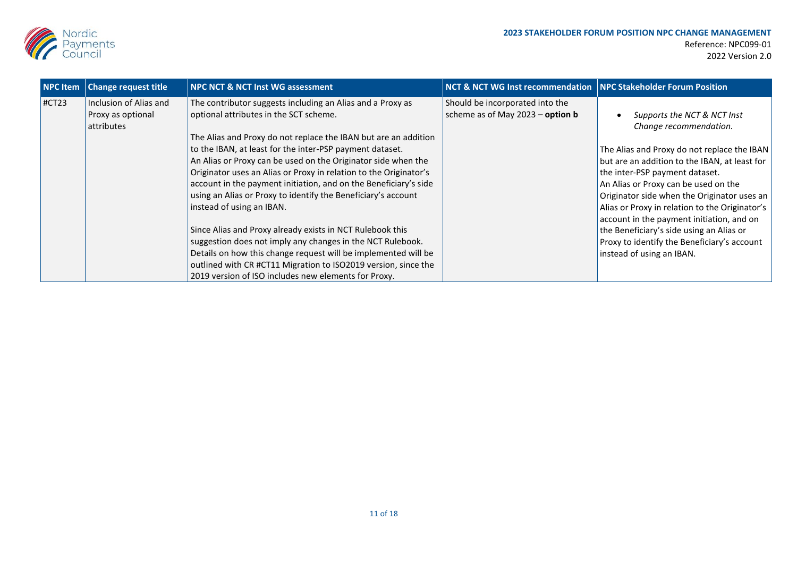

| <b>NPC Item</b> | <b>Change request title</b>                               | <b>NPC NCT &amp; NCT Inst WG assessment</b>                                                                                                                                                                                                                                                                                                                                                                                                                                                                                                                                                                                                                                                                                                                                                                                                                        | <b>NCT &amp; NCT WG Inst recommendation   NPC Stakeholder Forum Position</b> |                                                                                                                                                                                                                                                                                                                                                                                                                                                                                                       |
|-----------------|-----------------------------------------------------------|--------------------------------------------------------------------------------------------------------------------------------------------------------------------------------------------------------------------------------------------------------------------------------------------------------------------------------------------------------------------------------------------------------------------------------------------------------------------------------------------------------------------------------------------------------------------------------------------------------------------------------------------------------------------------------------------------------------------------------------------------------------------------------------------------------------------------------------------------------------------|------------------------------------------------------------------------------|-------------------------------------------------------------------------------------------------------------------------------------------------------------------------------------------------------------------------------------------------------------------------------------------------------------------------------------------------------------------------------------------------------------------------------------------------------------------------------------------------------|
| HCT23           | Inclusion of Alias and<br>Proxy as optional<br>attributes | The contributor suggests including an Alias and a Proxy as<br>optional attributes in the SCT scheme.<br>The Alias and Proxy do not replace the IBAN but are an addition<br>to the IBAN, at least for the inter-PSP payment dataset.<br>An Alias or Proxy can be used on the Originator side when the<br>Originator uses an Alias or Proxy in relation to the Originator's<br>account in the payment initiation, and on the Beneficiary's side<br>using an Alias or Proxy to identify the Beneficiary's account<br>instead of using an IBAN.<br>Since Alias and Proxy already exists in NCT Rulebook this<br>suggestion does not imply any changes in the NCT Rulebook.<br>Details on how this change request will be implemented will be<br>outlined with CR #CT11 Migration to ISO2019 version, since the<br>2019 version of ISO includes new elements for Proxy. | Should be incorporated into the<br>scheme as of May $2023 -$ option b        | Supports the NCT & NCT Inst<br>Change recommendation.<br>The Alias and Proxy do not replace the IBAN<br>but are an addition to the IBAN, at least for<br>the inter-PSP payment dataset.<br>An Alias or Proxy can be used on the<br>Originator side when the Originator uses an<br>Alias or Proxy in relation to the Originator's<br>account in the payment initiation, and on<br>the Beneficiary's side using an Alias or<br>Proxy to identify the Beneficiary's account<br>instead of using an IBAN. |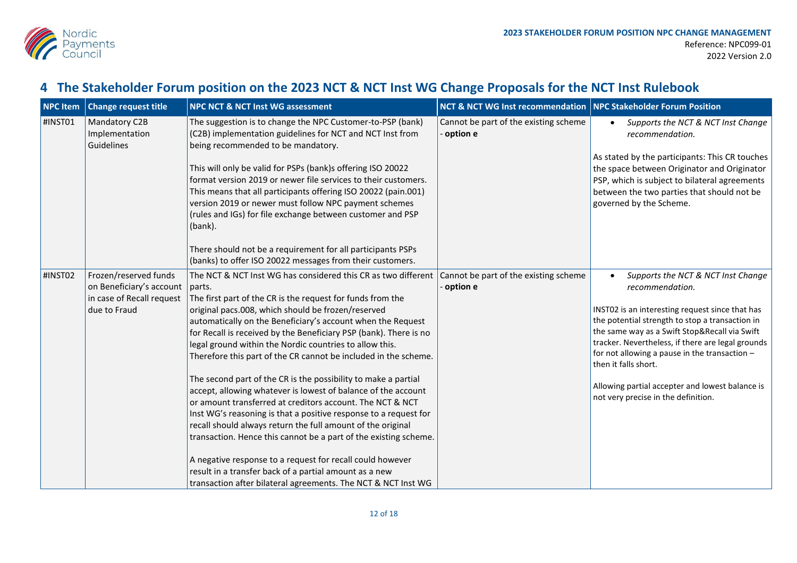

## **4 The Stakeholder Forum position on the 2023 NCT & NCT Inst WG Change Proposals for the NCT Inst Rulebook**

| <b>NPC Item</b> | <b>Change request title</b>                                                                    | <b>NPC NCT &amp; NCT Inst WG assessment</b>                                                                                                                                                                                                                                                                                                                                                                                                                                                                                                                                                                                                                                                                                                                                                                                                                                                                                                                                                                                                                  | <b>NCT &amp; NCT WG Inst recommendation</b>         | NPC Stakeholder Forum Position                                                                                                                                                                                                                                                                                                                                                                                                       |
|-----------------|------------------------------------------------------------------------------------------------|--------------------------------------------------------------------------------------------------------------------------------------------------------------------------------------------------------------------------------------------------------------------------------------------------------------------------------------------------------------------------------------------------------------------------------------------------------------------------------------------------------------------------------------------------------------------------------------------------------------------------------------------------------------------------------------------------------------------------------------------------------------------------------------------------------------------------------------------------------------------------------------------------------------------------------------------------------------------------------------------------------------------------------------------------------------|-----------------------------------------------------|--------------------------------------------------------------------------------------------------------------------------------------------------------------------------------------------------------------------------------------------------------------------------------------------------------------------------------------------------------------------------------------------------------------------------------------|
| #INST01         | Mandatory C2B<br>Implementation<br>Guidelines                                                  | The suggestion is to change the NPC Customer-to-PSP (bank)<br>(C2B) implementation guidelines for NCT and NCT Inst from<br>being recommended to be mandatory.<br>This will only be valid for PSPs (bank)s offering ISO 20022<br>format version 2019 or newer file services to their customers.<br>This means that all participants offering ISO 20022 (pain.001)<br>version 2019 or newer must follow NPC payment schemes<br>(rules and IGs) for file exchange between customer and PSP<br>(bank).<br>There should not be a requirement for all participants PSPs<br>(banks) to offer ISO 20022 messages from their customers.                                                                                                                                                                                                                                                                                                                                                                                                                               | Cannot be part of the existing scheme<br>- option e | Supports the NCT & NCT Inst Change<br>$\bullet$<br>recommendation.<br>As stated by the participants: This CR touches<br>the space between Originator and Originator<br>PSP, which is subject to bilateral agreements<br>between the two parties that should not be<br>governed by the Scheme.                                                                                                                                        |
| #INST02         | Frozen/reserved funds<br>on Beneficiary's account<br>in case of Recall request<br>due to Fraud | The NCT & NCT Inst WG has considered this CR as two different<br>parts.<br>The first part of the CR is the request for funds from the<br>original pacs.008, which should be frozen/reserved<br>automatically on the Beneficiary's account when the Request<br>for Recall is received by the Beneficiary PSP (bank). There is no<br>legal ground within the Nordic countries to allow this.<br>Therefore this part of the CR cannot be included in the scheme.<br>The second part of the CR is the possibility to make a partial<br>accept, allowing whatever is lowest of balance of the account<br>or amount transferred at creditors account. The NCT & NCT<br>Inst WG's reasoning is that a positive response to a request for<br>recall should always return the full amount of the original<br>transaction. Hence this cannot be a part of the existing scheme.<br>A negative response to a request for recall could however<br>result in a transfer back of a partial amount as a new<br>transaction after bilateral agreements. The NCT & NCT Inst WG | Cannot be part of the existing scheme<br>option e   | Supports the NCT & NCT Inst Change<br>recommendation.<br>INST02 is an interesting request since that has<br>the potential strength to stop a transaction in<br>the same way as a Swift Stop&Recall via Swift<br>tracker. Nevertheless, if there are legal grounds<br>for not allowing a pause in the transaction -<br>then it falls short.<br>Allowing partial accepter and lowest balance is<br>not very precise in the definition. |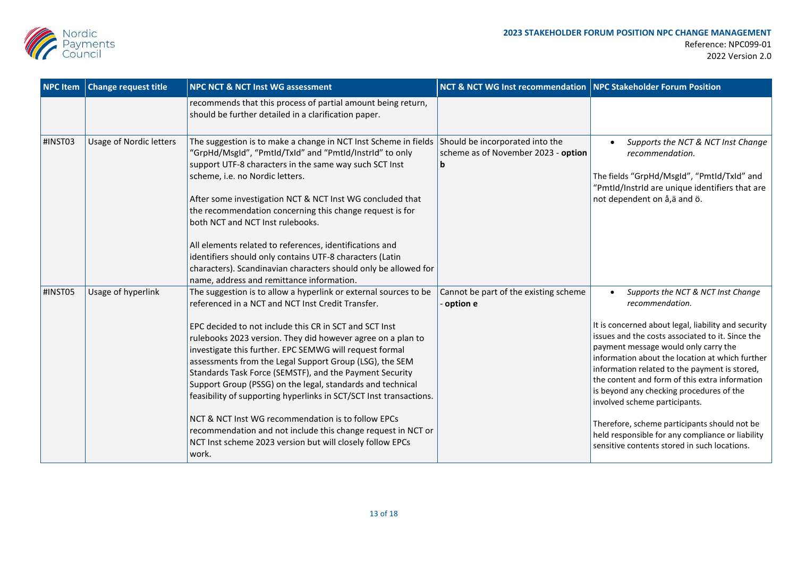

| <b>NPC Item</b> | <b>Change request title</b>    | <b>NPC NCT &amp; NCT Inst WG assessment</b>                                                                                                                                                                                                                                                                                                                                                                                                                                                                                                                                                                                                                                                                                                                     | NCT & NCT WG Inst recommendation   NPC Stakeholder Forum Position           |                                                                                                                                                                                                                                                                                                                                                                                                                                                                                                                                                                                                              |
|-----------------|--------------------------------|-----------------------------------------------------------------------------------------------------------------------------------------------------------------------------------------------------------------------------------------------------------------------------------------------------------------------------------------------------------------------------------------------------------------------------------------------------------------------------------------------------------------------------------------------------------------------------------------------------------------------------------------------------------------------------------------------------------------------------------------------------------------|-----------------------------------------------------------------------------|--------------------------------------------------------------------------------------------------------------------------------------------------------------------------------------------------------------------------------------------------------------------------------------------------------------------------------------------------------------------------------------------------------------------------------------------------------------------------------------------------------------------------------------------------------------------------------------------------------------|
|                 |                                | recommends that this process of partial amount being return,<br>should be further detailed in a clarification paper.                                                                                                                                                                                                                                                                                                                                                                                                                                                                                                                                                                                                                                            |                                                                             |                                                                                                                                                                                                                                                                                                                                                                                                                                                                                                                                                                                                              |
| #INST03         | <b>Usage of Nordic letters</b> | The suggestion is to make a change in NCT Inst Scheme in fields<br>"GrpHd/MsgId", "PmtId/TxId" and "PmtId/InstrId" to only<br>support UTF-8 characters in the same way such SCT Inst<br>scheme, i.e. no Nordic letters.<br>After some investigation NCT & NCT Inst WG concluded that<br>the recommendation concerning this change request is for<br>both NCT and NCT Inst rulebooks.<br>All elements related to references, identifications and<br>identifiers should only contains UTF-8 characters (Latin<br>characters). Scandinavian characters should only be allowed for<br>name, address and remittance information.                                                                                                                                     | Should be incorporated into the<br>scheme as of November 2023 - option<br>b | Supports the NCT & NCT Inst Change<br>$\bullet$<br>recommendation.<br>The fields "GrpHd/MsgId", "PmtId/TxId" and<br>"PmtId/InstrId are unique identifiers that are<br>not dependent on å,ä and ö.                                                                                                                                                                                                                                                                                                                                                                                                            |
| #INST05         | Usage of hyperlink             | The suggestion is to allow a hyperlink or external sources to be<br>referenced in a NCT and NCT Inst Credit Transfer.<br>EPC decided to not include this CR in SCT and SCT Inst<br>rulebooks 2023 version. They did however agree on a plan to<br>investigate this further. EPC SEMWG will request formal<br>assessments from the Legal Support Group (LSG), the SEM<br>Standards Task Force (SEMSTF), and the Payment Security<br>Support Group (PSSG) on the legal, standards and technical<br>feasibility of supporting hyperlinks in SCT/SCT Inst transactions.<br>NCT & NCT Inst WG recommendation is to follow EPCs<br>recommendation and not include this change request in NCT or<br>NCT Inst scheme 2023 version but will closely follow EPCs<br>work. | Cannot be part of the existing scheme<br>option e                           | Supports the NCT & NCT Inst Change<br>$\bullet$<br>recommendation.<br>It is concerned about legal, liability and security<br>issues and the costs associated to it. Since the<br>payment message would only carry the<br>information about the location at which further<br>information related to the payment is stored,<br>the content and form of this extra information<br>is beyond any checking procedures of the<br>involved scheme participants.<br>Therefore, scheme participants should not be<br>held responsible for any compliance or liability<br>sensitive contents stored in such locations. |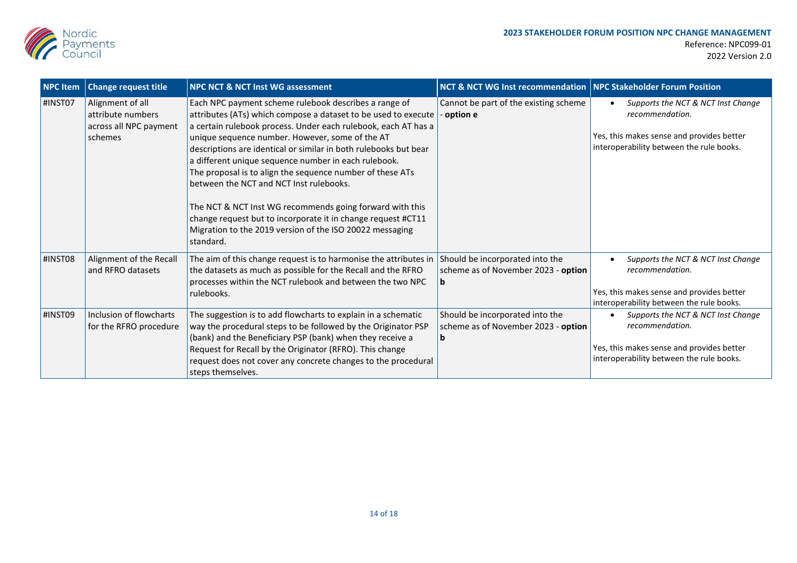

| <b>NPC Item</b> | <b>Change request title</b>                                                | <b>NPC NCT &amp; NCT Inst WG assessment</b>                                                                                                                                                                                                                                                                                                   | <b>NCT &amp; NCT WG Inst recommendation   NPC Stakeholder Forum Position</b> |                                                                                                                                                     |
|-----------------|----------------------------------------------------------------------------|-----------------------------------------------------------------------------------------------------------------------------------------------------------------------------------------------------------------------------------------------------------------------------------------------------------------------------------------------|------------------------------------------------------------------------------|-----------------------------------------------------------------------------------------------------------------------------------------------------|
| #INST07         | Alignment of all<br>attribute numbers<br>across all NPC payment<br>schemes | Each NPC payment scheme rulebook describes a range of<br>attributes (ATs) which compose a dataset to be used to execute<br>a certain rulebook process. Under each rulebook, each AT has a<br>unique sequence number. However, some of the AT                                                                                                  | Cannot be part of the existing scheme<br>- option e                          | Supports the NCT & NCT Inst Change<br>٠<br>recommendation.<br>Yes, this makes sense and provides better<br>interoperability between the rule books. |
|                 |                                                                            | descriptions are identical or similar in both rulebooks but bear<br>a different unique sequence number in each rulebook.<br>The proposal is to align the sequence number of these ATs<br>between the NCT and NCT Inst rulebooks.                                                                                                              |                                                                              |                                                                                                                                                     |
|                 |                                                                            | The NCT & NCT Inst WG recommends going forward with this<br>change request but to incorporate it in change request #CT11<br>Migration to the 2019 version of the ISO 20022 messaging<br>standard.                                                                                                                                             |                                                                              |                                                                                                                                                     |
| #INST08         | Alignment of the Recall<br>and RFRO datasets                               | The aim of this change request is to harmonise the attributes in<br>the datasets as much as possible for the Recall and the RFRO<br>processes within the NCT rulebook and between the two NPC<br>rulebooks.                                                                                                                                   | Should be incorporated into the<br>scheme as of November 2023 - option       | Supports the NCT & NCT Inst Change<br>recommendation.<br>Yes, this makes sense and provides better<br>interoperability between the rule books.      |
| #INST09         | Inclusion of flowcharts<br>for the RFRO procedure                          | The suggestion is to add flowcharts to explain in a schematic<br>way the procedural steps to be followed by the Originator PSP<br>(bank) and the Beneficiary PSP (bank) when they receive a<br>Request for Recall by the Originator (RFRO). This change<br>request does not cover any concrete changes to the procedural<br>steps themselves. | Should be incorporated into the<br>scheme as of November 2023 - option<br>b  | Supports the NCT & NCT Inst Change<br>recommendation.<br>Yes, this makes sense and provides better<br>interoperability between the rule books.      |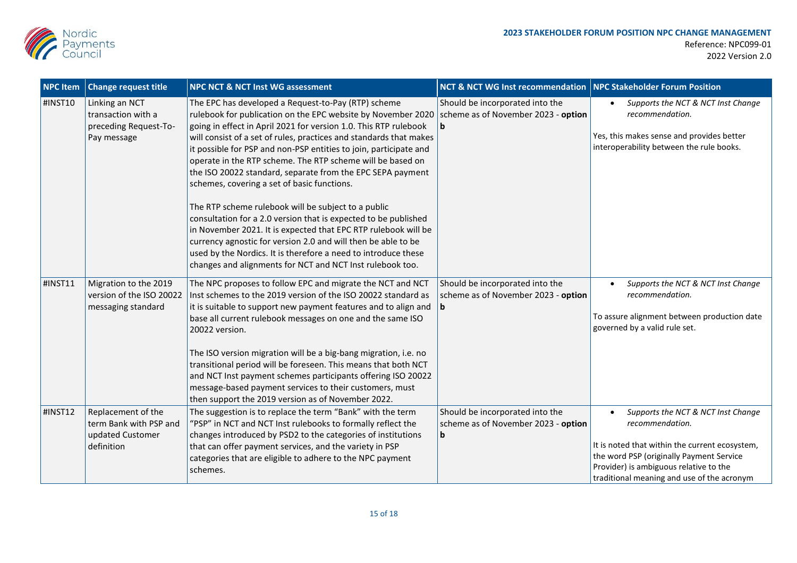

| <b>NPC Item</b> | <b>Change request title</b>                                                    | <b>NPC NCT &amp; NCT Inst WG assessment</b>                                                                                                                                                                                                                                                                                                                                                                                                                                                                                                                                                                                                                                                                                                                                                                                                                                                               | <b>NCT &amp; NCT WG Inst recommendation</b>                                   | <b>NPC Stakeholder Forum Position</b>                                                                                                                                                                                                                    |
|-----------------|--------------------------------------------------------------------------------|-----------------------------------------------------------------------------------------------------------------------------------------------------------------------------------------------------------------------------------------------------------------------------------------------------------------------------------------------------------------------------------------------------------------------------------------------------------------------------------------------------------------------------------------------------------------------------------------------------------------------------------------------------------------------------------------------------------------------------------------------------------------------------------------------------------------------------------------------------------------------------------------------------------|-------------------------------------------------------------------------------|----------------------------------------------------------------------------------------------------------------------------------------------------------------------------------------------------------------------------------------------------------|
| #INST10         | Linking an NCT<br>transaction with a<br>preceding Request-To-<br>Pay message   | The EPC has developed a Request-to-Pay (RTP) scheme<br>rulebook for publication on the EPC website by November 2020<br>going in effect in April 2021 for version 1.0. This RTP rulebook<br>will consist of a set of rules, practices and standards that makes<br>it possible for PSP and non-PSP entities to join, participate and<br>operate in the RTP scheme. The RTP scheme will be based on<br>the ISO 20022 standard, separate from the EPC SEPA payment<br>schemes, covering a set of basic functions.<br>The RTP scheme rulebook will be subject to a public<br>consultation for a 2.0 version that is expected to be published<br>in November 2021. It is expected that EPC RTP rulebook will be<br>currency agnostic for version 2.0 and will then be able to be<br>used by the Nordics. It is therefore a need to introduce these<br>changes and alignments for NCT and NCT Inst rulebook too. | Should be incorporated into the<br>scheme as of November 2023 - option<br>l b | Supports the NCT & NCT Inst Change<br>$\bullet$<br>recommendation.<br>Yes, this makes sense and provides better<br>interoperability between the rule books.                                                                                              |
| #INST11         | Migration to the 2019<br>version of the ISO 20022<br>messaging standard        | The NPC proposes to follow EPC and migrate the NCT and NCT<br>Inst schemes to the 2019 version of the ISO 20022 standard as<br>it is suitable to support new payment features and to align and<br>base all current rulebook messages on one and the same ISO<br>20022 version.<br>The ISO version migration will be a big-bang migration, i.e. no<br>transitional period will be foreseen. This means that both NCT<br>and NCT Inst payment schemes participants offering ISO 20022<br>message-based payment services to their customers, must<br>then support the 2019 version as of November 2022.                                                                                                                                                                                                                                                                                                      | Should be incorporated into the<br>scheme as of November 2023 - option<br>b   | Supports the NCT & NCT Inst Change<br>recommendation.<br>To assure alignment between production date<br>governed by a valid rule set.                                                                                                                    |
| #INST12         | Replacement of the<br>term Bank with PSP and<br>updated Customer<br>definition | The suggestion is to replace the term "Bank" with the term<br>"PSP" in NCT and NCT Inst rulebooks to formally reflect the<br>changes introduced by PSD2 to the categories of institutions<br>that can offer payment services, and the variety in PSP<br>categories that are eligible to adhere to the NPC payment<br>schemes.                                                                                                                                                                                                                                                                                                                                                                                                                                                                                                                                                                             | Should be incorporated into the<br>scheme as of November 2023 - option<br>b   | Supports the NCT & NCT Inst Change<br>$\bullet$<br>recommendation.<br>It is noted that within the current ecosystem,<br>the word PSP (originally Payment Service<br>Provider) is ambiguous relative to the<br>traditional meaning and use of the acronym |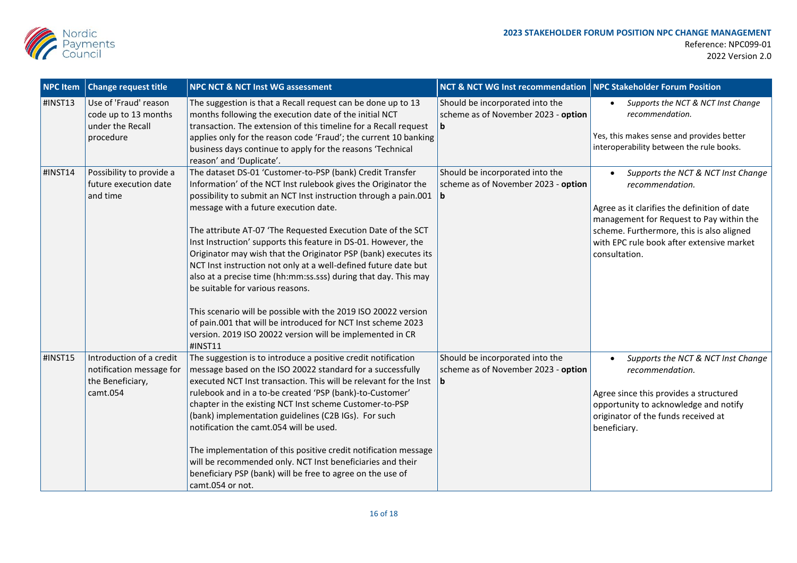

| <b>NPC Item</b> | <b>Change request title</b>                                                          | <b>NPC NCT &amp; NCT Inst WG assessment</b>                                                                                                                                                                                                                                                                                                                                                                                                                                                                                                                                                                                                                                                                                                                                                                                       | <b>NCT &amp; NCT WG Inst recommendation   NPC Stakeholder Forum Position</b> |                                                                                                                                                                                                                                                              |
|-----------------|--------------------------------------------------------------------------------------|-----------------------------------------------------------------------------------------------------------------------------------------------------------------------------------------------------------------------------------------------------------------------------------------------------------------------------------------------------------------------------------------------------------------------------------------------------------------------------------------------------------------------------------------------------------------------------------------------------------------------------------------------------------------------------------------------------------------------------------------------------------------------------------------------------------------------------------|------------------------------------------------------------------------------|--------------------------------------------------------------------------------------------------------------------------------------------------------------------------------------------------------------------------------------------------------------|
| #INST13         | Use of 'Fraud' reason<br>code up to 13 months<br>under the Recall<br>procedure       | The suggestion is that a Recall request can be done up to 13<br>months following the execution date of the initial NCT<br>transaction. The extension of this timeline for a Recall request<br>applies only for the reason code 'Fraud'; the current 10 banking<br>business days continue to apply for the reasons 'Technical<br>reason' and 'Duplicate'.                                                                                                                                                                                                                                                                                                                                                                                                                                                                          | Should be incorporated into the<br>scheme as of November 2023 - option<br>b  | Supports the NCT & NCT Inst Change<br>recommendation.<br>Yes, this makes sense and provides better<br>interoperability between the rule books.                                                                                                               |
| #INST14         | Possibility to provide a<br>future execution date<br>and time                        | The dataset DS-01 'Customer-to-PSP (bank) Credit Transfer<br>Information' of the NCT Inst rulebook gives the Originator the<br>possibility to submit an NCT Inst instruction through a pain.001<br>message with a future execution date.<br>The attribute AT-07 'The Requested Execution Date of the SCT<br>Inst Instruction' supports this feature in DS-01. However, the<br>Originator may wish that the Originator PSP (bank) executes its<br>NCT Inst instruction not only at a well-defined future date but<br>also at a precise time (hh:mm:ss.sss) during that day. This may<br>be suitable for various reasons.<br>This scenario will be possible with the 2019 ISO 20022 version<br>of pain.001 that will be introduced for NCT Inst scheme 2023<br>version. 2019 ISO 20022 version will be implemented in CR<br>#INST11 | Should be incorporated into the<br>scheme as of November 2023 - option<br>b  | Supports the NCT & NCT Inst Change<br>recommendation.<br>Agree as it clarifies the definition of date<br>management for Request to Pay within the<br>scheme. Furthermore, this is also aligned<br>with EPC rule book after extensive market<br>consultation. |
| #INST15         | Introduction of a credit<br>notification message for<br>the Beneficiary,<br>camt.054 | The suggestion is to introduce a positive credit notification<br>message based on the ISO 20022 standard for a successfully<br>executed NCT Inst transaction. This will be relevant for the Inst<br>rulebook and in a to-be created 'PSP (bank)-to-Customer'<br>chapter in the existing NCT Inst scheme Customer-to-PSP<br>(bank) implementation guidelines (C2B IGs). For such<br>notification the camt.054 will be used.<br>The implementation of this positive credit notification message<br>will be recommended only. NCT Inst beneficiaries and their<br>beneficiary PSP (bank) will be free to agree on the use of<br>camt.054 or not.                                                                                                                                                                                     | Should be incorporated into the<br>scheme as of November 2023 - option<br>b  | Supports the NCT & NCT Inst Change<br>$\bullet$<br>recommendation.<br>Agree since this provides a structured<br>opportunity to acknowledge and notify<br>originator of the funds received at<br>beneficiary.                                                 |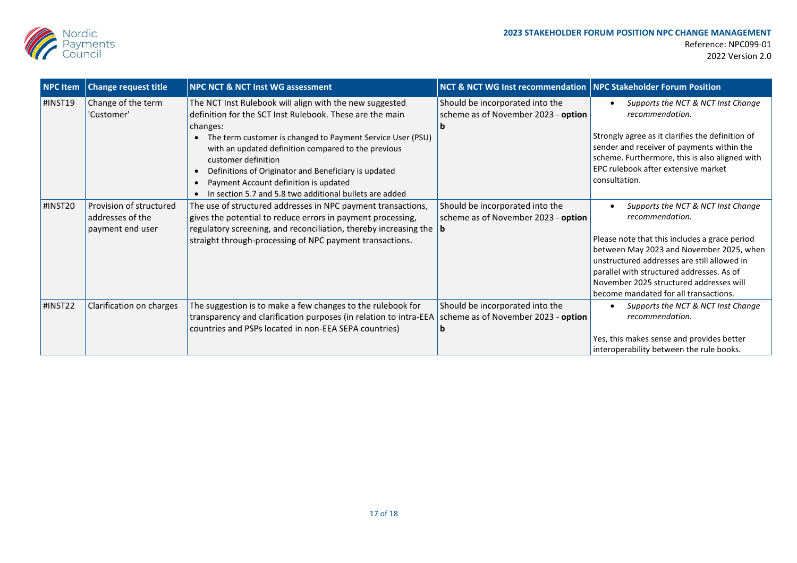

| <b>NPC Item</b> | <b>Change request title</b>                                     | <b>NPC NCT &amp; NCT Inst WG assessment</b>                                                                                                                                                                                                            | NCT & NCT WG Inst recommendation   NPC Stakeholder Forum Position      |                                                                                                                                                                                                                                                                           |
|-----------------|-----------------------------------------------------------------|--------------------------------------------------------------------------------------------------------------------------------------------------------------------------------------------------------------------------------------------------------|------------------------------------------------------------------------|---------------------------------------------------------------------------------------------------------------------------------------------------------------------------------------------------------------------------------------------------------------------------|
| #INST19         | Change of the term<br>'Customer'                                | The NCT Inst Rulebook will align with the new suggested<br>definition for the SCT Inst Rulebook. These are the main<br>changes:<br>• The term customer is changed to Payment Service User (PSU)<br>with an updated definition compared to the previous | Should be incorporated into the<br>scheme as of November 2023 - option | Supports the NCT & NCT Inst Change<br>recommendation.<br>Strongly agree as it clarifies the definition of<br>sender and receiver of payments within the                                                                                                                   |
|                 |                                                                 | customer definition<br>Definitions of Originator and Beneficiary is updated<br>Payment Account definition is updated<br>In section 5.7 and 5.8 two additional bullets are added                                                                        |                                                                        | scheme. Furthermore, this is also aligned with<br>EPC rulebook after extensive market<br>consultation.                                                                                                                                                                    |
| #INST20         | Provision of structured<br>addresses of the<br>payment end user | The use of structured addresses in NPC payment transactions,<br>gives the potential to reduce errors in payment processing,<br>regulatory screening, and reconciliation, thereby increasing the $ b $                                                  | Should be incorporated into the<br>scheme as of November 2023 - option | Supports the NCT & NCT Inst Change<br>recommendation.                                                                                                                                                                                                                     |
|                 |                                                                 | straight through-processing of NPC payment transactions.                                                                                                                                                                                               |                                                                        | Please note that this includes a grace period<br>between May 2023 and November 2025, when<br>unstructured addresses are still allowed in<br>parallel with structured addresses. As of<br>November 2025 structured addresses will<br>become mandated for all transactions. |
| #INST22         | Clarification on charges                                        | The suggestion is to make a few changes to the rulebook for<br>transparency and clarification purposes (in relation to intra-EEA scheme as of November 2023 - option<br>countries and PSPs located in non-EEA SEPA countries)                          | Should be incorporated into the                                        | Supports the NCT & NCT Inst Change<br>recommendation.<br>Yes, this makes sense and provides better<br>interoperability between the rule books.                                                                                                                            |